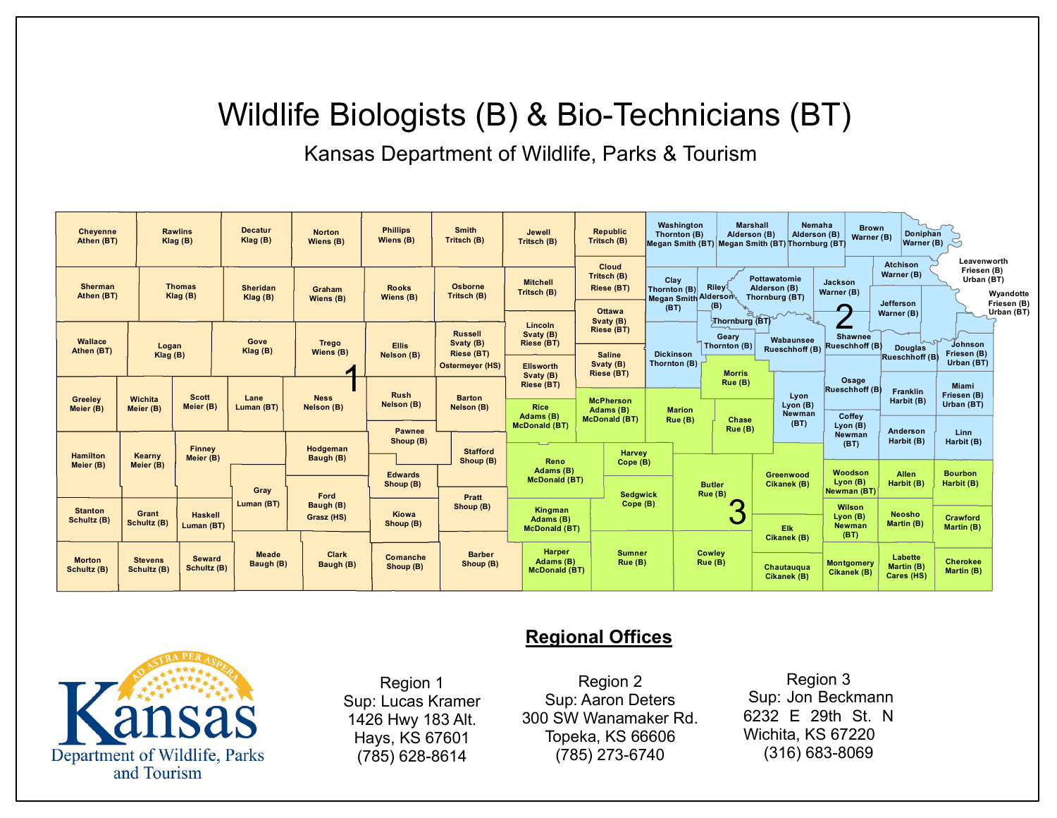## Wildlife Biologists (B) & Bio-Technicians (BT)

Kansas Department of Wildlife, Parks & Tourism

| <b>Cheyenne</b><br>Athen (BT) |                               | <b>Rawlins</b><br>Klag(B)    | <b>Decatur</b><br>Klag(B)  | <b>Norton</b><br>Wiens (B) | <b>Phillips</b><br>Wiens (B) | <b>Smith</b><br>Tritsch (B)                       | Jewell<br>Tritsch (B)                              | <b>Republic</b><br>Tritsch (B)           | Washington<br>Thornton (B)                 | <b>Marshall</b><br>Alderson (B) | Nemaha<br>Alderson (B)<br>Megan Smith (BT) Megan Smith (BT) Thornburg (BT) | <b>Brown</b><br>Warner (B)          | Doniphan<br>Warner (B)                               |                                                       |
|-------------------------------|-------------------------------|------------------------------|----------------------------|----------------------------|------------------------------|---------------------------------------------------|----------------------------------------------------|------------------------------------------|--------------------------------------------|---------------------------------|----------------------------------------------------------------------------|-------------------------------------|------------------------------------------------------|-------------------------------------------------------|
| <b>Sherman</b><br>Athen (BT)  |                               | <b>Thomas</b><br>Klag (B)    | <b>Sheridan</b><br>Klag(B) | Graham<br>Wiens (B)        | <b>Rooks</b><br>Wiens (B)    | Osborne<br>Tritsch (B)                            | <b>Mitchell</b><br>Tritsch (B)                     | Cloud<br>Tritsch (B)<br>Riese (BT)       | Clay<br>Thornton (B)                       | Rileyर्                         | Pottawatomie<br>Alderson (B)<br>Thornburg (BT)                             | <b>Jackson</b><br>Warner (B)        | <b>Atchison</b><br>Warner (B)                        | Leavenworth<br>Friesen (B)<br>Urban (BT)<br>Wyandotte |
|                               |                               |                              |                            |                            |                              | <b>Russell</b>                                    | Lincoln<br>Svaty (B)                               | <b>Ottawa</b><br>Svaty (B)<br>Riese (BT) | <b>Megan Smith Alderson</b><br>(B)<br>(BT) |                                 | Thornburg (BT)                                                             | ⊂                                   | Friesen (B)<br>Jefferson<br>Urban (BT)<br>Warner (B) |                                                       |
| Wallace<br>Athen (BT)         | Logan<br>Klag(B)              |                              | Gove<br>Klag (B)           | <b>Trego</b><br>Wiens (B)  | <b>Ellis</b><br>Nelson (B)   | Svaty (B)<br>Riese (BT)<br><b>Ostermeyer (HS)</b> | Riese (BT)<br><b>Ellsworth</b>                     | <b>Saline</b><br>Svaty (B)               | <b>Dickinson</b><br>Thornton $(B)$ [       | Geary<br>Thornton (B)           | Wabaunsee<br>Rueschhoff (B) Rueschhoff (B)                                 | <b>Shawnee</b>                      | <b>Douglas</b><br><b>Rueschhoff (B</b>               | Johnson<br>Friesen (B)<br>Urban (BT)                  |
| Greeley<br>Meier (B)          | <b>Wichita</b><br>Meier (B)   | <b>Scott</b><br>Meier (B)    | Lane<br>Luman (BT)         | <b>Ness</b><br>Nelson (B)  | <b>Rush</b><br>Nelson (B)    | <b>Barton</b><br>Nelson (B)                       | Svaty (B)<br>Riese (BT)<br><b>Rice</b>             | Riese (BT)<br><b>McPherson</b>           |                                            | <b>Morris</b><br>Rue (B)        | Lyon<br>$L$ yon $(B)$                                                      | Osage<br>Rueschhoff (B)             | Franklin<br>Harbit (B)                               | <b>Miami</b><br>Friesen (B)<br>Urban (BT)             |
|                               |                               |                              |                            |                            | <b>Pawnee</b><br>Shoup (B)   |                                                   | Adams (B)<br><b>McDonald (BT)</b>                  | Adams (B)<br><b>McDonald (BT)</b>        | <b>Marion</b><br>Rue (B)                   | Chase<br>Rue (B)                | Newman<br>(BT)                                                             | Coffey<br>$L$ yon (B)<br>Newman     | Anderson<br>Harbit (B)                               | Linn<br>Harbit (B)                                    |
| Hamilton<br>Meier (B)         | Kearny<br>Meier (B)           | Finney<br>Meier (B)          |                            | Hodgeman<br>Baugh (B)      | <b>Edwards</b>               | <b>Stafford</b><br>Shoup (B)                      | Reno<br>Adams (B)<br><b>McDonald (BT)</b>          | <b>Harvey</b><br>Cope (B)                |                                            |                                 | Greenwood                                                                  | (BT)<br>Woodson                     | <b>Allen</b>                                         | <b>Bourbon</b>                                        |
| <b>Stanton</b>                |                               |                              | Gray<br>Luman (BT)         | Ford<br>Baugh (B)          | Shoup (B)                    | Pratt<br>Shoup (B)                                | Kingman                                            | <b>Sedgwick</b><br>Cope (B)              |                                            | <b>Butler</b><br>Rue (B)        | Cikanek (B)                                                                | Lyon (B)<br>Newman (BT)<br>Wilson   | Harbit (B)                                           | Harbit (B)                                            |
| Schultz (B)                   | Grant<br>Schultz (B)          |                              |                            | Grasz (HS)                 | Kiowa<br>Shoup (B)           |                                                   | Adams (B)                                          | <b>McDonald (BT)</b>                     |                                            | v                               | Elk<br>Cikanek (B)                                                         | Lyon $(B)$<br><b>Newman</b><br>(BT) | <b>Neosho</b><br>Martin (B)                          | Crawford<br>Martin (B)                                |
| <b>Morton</b><br>Schultz (B)  | <b>Stevens</b><br>Schultz (B) | <b>Seward</b><br>Schultz (B) | <b>Meade</b><br>Baugh (B)  | <b>Clark</b><br>Baugh (B)  | Comanche<br>Shoup (B)        | <b>Barber</b><br>Shoup (B)                        | <b>Harper</b><br>Adams (B)<br><b>McDonald (BT)</b> | <b>Sumner</b><br>Rue (B)                 |                                            | Cowley<br>Rue (B)               | Chautauqua<br>Cikanek (B)                                                  | <b>Montgomery</b><br>Cikanek (B)    | Labette<br>Martin (B)<br>Cares (HS)                  | <b>Cherokee</b><br>Martin (B)                         |



Region 1 Sup: Lucas Kramer 1426 Hwy 183 Alt. Hays, KS 67601 (785) 628-8614

## **Regional Offices**

Region 2 Sup: Aaron Deters 300 SW Wanamaker Rd. Topeka, KS 66606 (785) 273-6740

Region 3 Sup: Jon Beckmann 6232 E 29th St. N Wichita, KS 67220 (316) 683-8069